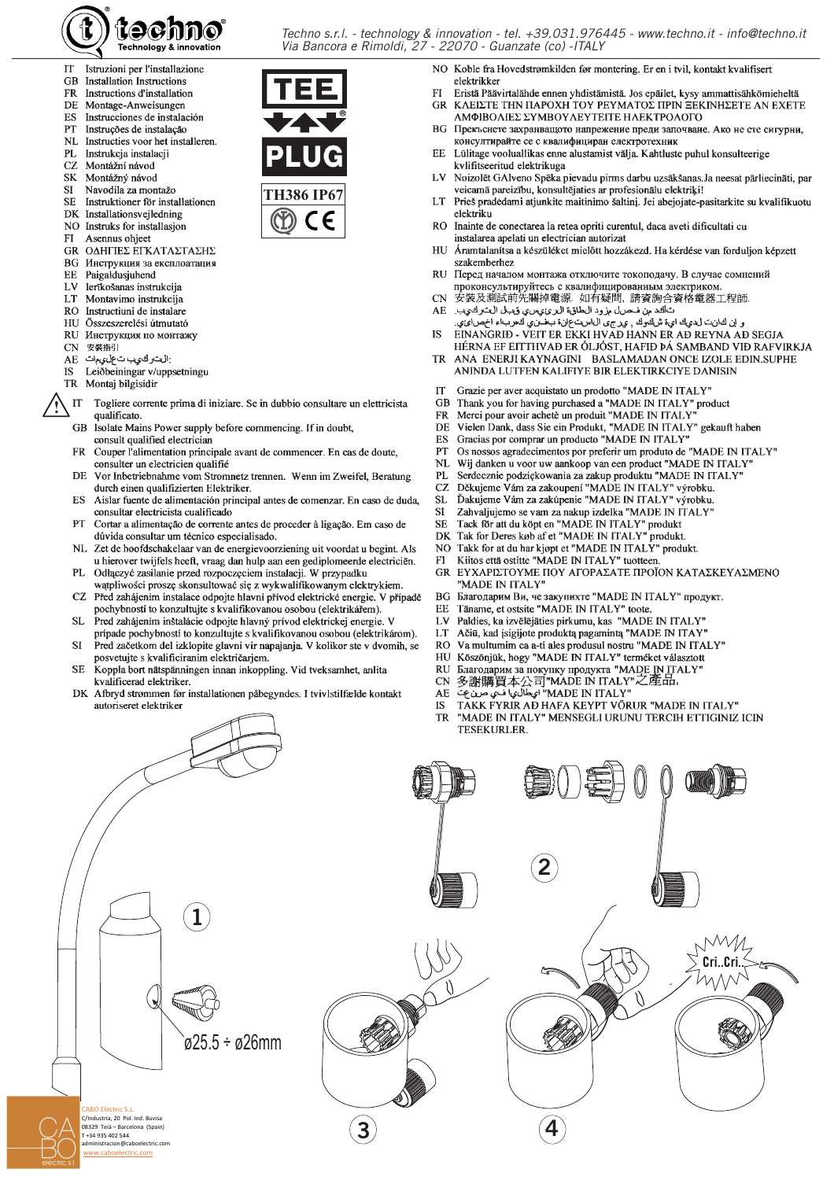

- IT Istruzioni per l'installazione
- GB Installation Instructions
- Instructions d'installation **FR**
- DE. Montage-Anweisungen
- ES Instrucciones de instalación PT
- Instruções de instalação **NL**
- Instructies voor het installeren. Instrukcja instalacji  $PI.$
- Montážní návod
- CZ.
- **SK** Montážný návod **SI**
- Navodila za montažo
- Instruktioner för installationen **SE**
- DK Installationsvejledning
- NO Instruks for installasion
- $FI$ Asennus ohjeet
- GR ΟΔΗΓΙΕΣ ΕΓΚΑΤΑΣΤΑΣΗΣ Инструкция за експлоатация
- **BG** EE
- Paigaldusjuhend LV
- lerīkošanas instrukcija Montavimo instrukcija LT
- $RO$
- Instructiuni de instalare
- Összeszerelési útmutató HU
- $RU$ Инструкция по монтажу
- 安裝指引 **CN**
- :التركيب تعليمات AE.
- Leiðbeiningar v/uppsetningu **IS**
- **TR** Montaj bilgisidir

ABO Elèctric S.I C/Industria, 20 Pol. Ind. Buvisa

o<br>08329 Teià - Barcelona (Spain) T +34 935 402 544

- IT Togliere corrente prima di iniziare. Se in dubbio consultare un elettricista qualificato
- Isolate Mains Power supply before commencing. If in doubt, **GR** consult qualified electrician
- $\overline{\text{FR}}$ Couper l'alimentation principale avant de commencer. En cas de doute, consulter un electricien qualifié
- **DE** Vor Inbetriebnahme vom Stromnetz trennen. Wenn im Zweifel, Beratung durch einen qualifizierten Elektriker.
- Aislar fuente de alimentación principal antes de comenzar. En caso de duda, ES consultar electricista cualificado
- PT Cortar a alimentação de corrente antes de proceder à ligação. Em caso de dúvida consultar um técnico especialisado.
- NL Zet de hoofdschakelaar van de energievoorziening uit voordat u begint. Als u hierover twijfels heeft, vraag dan hulp aan een gediplomeerde electriciën.
- PL Odłączyć zasilanie przed rozpoczęciem instalacji. W przypadku wątpliwości proszę skonsultować się z wykwalifikowanym elektrykiem.
- CZ Před zahájením instalace odpojte hlavní přívod elektrické energie. V případě pochybností to konzultujte s kvalifikovanou osobou (elektrikářem).
- Pred zahájením inštalácie odpojte hlavný prívod elektrickej energie. V **SL** prípade pochybností to konzultujte s kvalifikovanou osobou (elektrikárom).
- Pred začetkom del izklopite glavni vir napajanja. V kolikor ste v dvomih, se **SI** posvetuite s kvalificiranim električariem.
- Koppla bort nätspänningen innan inkoppling. Vid tveksamhet, anlita SE. kvalificerad elektriker.
- Afbryd strømmen før installationen påbegyndes. I tvivlstilfælde kontakt DK autoriseret elektriker
- NO Koble fra Hovedstrømkilden før montering. Er en i tvil, kontakt kvalifisert elektrikker
- $\Gamma$ Eristä Päävirtalähde ennen yhdistämistä. Jos epäilet, kysy ammattisähkömieheltä **GR** ΚΛΕΙΣΤΕ ΤΗΝ ΠΑΡΟΧΗ ΤΟΥ ΡΕΥΜΑΤΟΣ ΠΡΙΝ ΞΕΚΙΝΗΣΕΤΕ ΑΝ ΕΧΕΤΕ
- ΑΜΦΙΒΟΛΙΕΣ ΣΥΜΒΟΥΛΕΥΤΕΙΤΕ ΗΛΕΚΤΡΟΛΟΓΟ ВС Прекъснете захранващото напрежение преди започване. Ако не сте сигурни,
- консултирайте се с квалифициран електротехник Lülitage vooluallikas enne alustamist välja. Kahtluste puhul konsulteerige EE. kvlifitseeritud elektrikuga
- LV Noizolēt GAlveno Spēka pievadu pirms darbu uzsākšanas. Ja neesat pārliecināti, par veicamā pareizību, konsultējaties ar profesionālu elektriķi!
- LT Prieš pradėdami atjunkite maitinimo šaltinį. Jei abejojate-pasitarkite su kvalifikuotu elektriku
- Inainte de conectarea la retea opriti curentul, daca aveti dificultati cu **RO** instalarea apelati un electrician autorizat
- HU Áramtalanítsa a készüléket mielőtt hozzákezd. Ha kérdése van forduljon képzett szakemberhez
- RU Перед началом монтажа отключите токоподачу. В случае сомнений проконсультируйтесь с квалифицированным электриком.
- **CN** 安裝及測試前先關掉電源. 如有疑問,請資詢合資格電器工程師
- تألفد من فحرال مزود الطاقة البرئ يسء قبل التتركيب. AE
- و اِن لثانت ل ديك ايءَ شالمُوك , يهرجى ال1است عان، بعضَني كثعرب،اء اخصَايَّتِي. EINANGRIÐ - VEIT ER EKKI HVAÐ HANN ER AÐ REYNA AÐ SEGJA **IS**
- HÉRNA EF EITTHVAÐ ER ÓLJÓST, HAFIÐ ÞÁ SAMBAND VIÐ RAFVIRKJA ANA ENERJI KAYNAGINI BASLAMADAN ONCE IZOLE EDIN.SUPHE **TR** ANINDA LUTFEN KALIFIYE BIR ELEKTIRKCIYE DANISIN
- **IT**
- Grazie per aver acquistato un prodotto "MADE IN ITALY" **GB**
- **FR**
- State per aver acquistatio un product MADE IN ITAL I<br>Thank you for having purchased a "MADE IN ITALY" product<br>Merci pour avoir achetè un produit "MADE IN ITALY" product<br>Vielen Dank, dass Sie ein Produkt, "MADE IN ITALY" ge DE
- ES
- PT
- Os nossos agradecimentos por preferir um produto de "MADE IN ITALY"
- NL Wij danken u voor uw aankoop van een product "MADE IN ITALY"
- Serdecznie podziękowania za zakup produktu "MADE IN ITALY" PI.
- Děkujeme Vám za zakoupení "MADE IN ITALY" výrobku.<br>Ďakujeme Vám za zakoupení "MADE IN ITALY" výrobku. CZ.
- **SL**
- **SI** Zahvaljujemo se vam za nakup izdelka "MADE IN ITALY'
- Tack för att du köpt en "MADE IN ITALY" produkt SE.
- Tak for Deres køb af et "MADE IN ITALY" produkt.  $D<sub>K</sub>$
- Takk for at du har kjøpt et "MADE IN ITALY" produkt. N<sub>O</sub>
- Kiitos että ostitte "MADE IN ITALY" tuotteen  $F1$
- ΕΥΧΑΡΙΣΤΟΥΜΕ ΠΟΥ ΑΓΟΡΑΣΑΤΕ ΠΡΟΪΟΝ ΚΑΤΑΣΚΕΥΑΣΜΕΝΟ **GR** 'MADE IN ITALY"
- Благодарим Ви, че закупихте "MADE IN ITALY" продукт.  $RG$
- EE Täname, et ostsite "MADE IN ITALY" toote.
- LV
- Paldies, ka izvēlējāties pirkumu, kas "MADE IN ITALY" LT
- Ačiū, kad įsigijote produktą pagamintą "MADE IN ITAY"  $RO$
- Va multumim ca a-ti ales produsul nostru "MADE IN ITALY"
- Köszönjük, hogy "MADE IN ITALY" terméket választott HU
- Nossonjas, negy 'www.phy.phyrra "MADE IN ITALY"<br>多謝購買本公司"MADE IN ITALY"之產品,<br>"وَيَطْالُونِا فَـٰيَ صَرْفٌ  $RU$
- **CN**
- AE
- TAKK FYRIR AÐ HAFA KEYPT VÖRUR "MADE IN ITALY" **IS**
- "MADE IN ITALY" MENSEGLI URUNU TERCIH ETTIGINIZ ICIN TR **TESEKURLER**